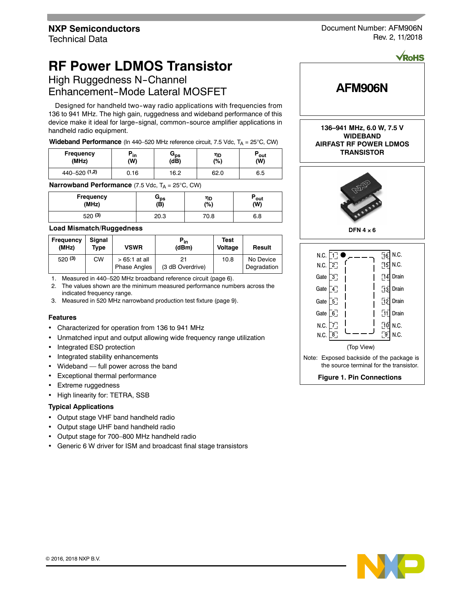# **RF Power LDMOS Transistor**

High Ruggedness N-Channel Enhancement-Mode Lateral MOSFET

Designed for handheld two-way radio applications with frequencies from 136 to 941 MHz. The high gain, ruggedness and wideband performance of this device make it ideal for large-signal, common-source amplifier applications in handheld radio equipment.

**Wideband Performance** (In 440–520 MHz reference circuit, 7.5 Vdc, T<sub>A</sub> = 25°C, CW)

| <b>Frequency</b> | ™ in | տրե  | ηD   | ັout |
|------------------|------|------|------|------|
| (MHz)            | (W)  | (dB) | (%)  | (W)  |
| 440-520 (1,2)    | ა.16 | 16.2 | 62.0 | 6.5  |

**Narrowband Performance** (7.5 Vdc, T<sub>A</sub> = 25°C, CW)

| <b>Frequency</b> | ⊐ps  | ηD   | ™out |
|------------------|------|------|------|
| (MHz)            | (B)  | (%)  | (W)  |
| 520(3)           | 20.3 | 70.8 | 6.8  |

#### **Load Mismatch/Ruggedness**

| Frequency<br>(MHz) | Sianal<br>Type | <b>VSWR</b>                           | $P_{in}$<br>(dBm) | Test<br>Voltage | Result                   |
|--------------------|----------------|---------------------------------------|-------------------|-----------------|--------------------------|
| 520(3)             | СW             | $>65:1$ at all<br><b>Phase Angles</b> | (3 dB Overdrive)  | 10.8            | No Device<br>Degradation |

1. Measured in 440–520 MHz broadband reference circuit (page 6).

2. The values shown are the minimum measured performance numbers across the indicated frequency range.

3. Measured in 520 MHz narrowband production test fixture (page 9).

#### **Features**

- Characterized for operation from 136 to 941 MHz
- Unmatched input and output allowing wide frequency range utilization
- Integrated ESD protection
- Integrated stability enhancements
- Wideband full power across the band
- Exceptional thermal performance
- Extreme ruggedness
- High linearity for: TETRA, SSB

## **Typical Applications**

- Output stage VHF band handheld radio
- Output stage UHF band handheld radio
- Output stage for 700–800 MHz handheld radio
- Generic 6 W driver for ISM and broadcast final stage transistors





**136–941 MHz, 6.0 W, 7.5 V WIDEBAND AIRFAST RF POWER LDMOS TRANSISTOR**







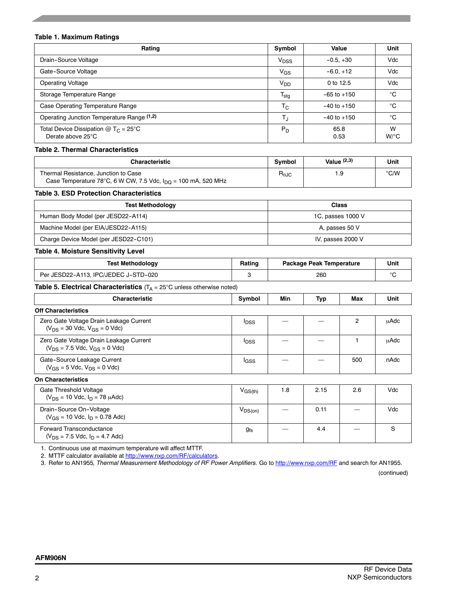# **Table 1. Maximum Ratings**

| Rating                                                                  | Symbol                    | Value           | Unit                      |
|-------------------------------------------------------------------------|---------------------------|-----------------|---------------------------|
| Drain-Source Voltage                                                    | V <sub>DSS</sub>          | $-0.5, +30$     | Vdc                       |
| Gate-Source Voltage                                                     | $V_{GS}$                  | $-6.0, +12$     | Vdc                       |
| <b>Operating Voltage</b>                                                | V <sub>DD</sub>           | 0 to 12.5       | Vdc                       |
| Storage Temperature Range                                               | $T_{\sf stg}$             | $-65$ to $+150$ | °C                        |
| Case Operating Temperature Range                                        | $\mathsf{T}_{\mathsf{C}}$ | $-40$ to $+150$ | °C                        |
| Operating Junction Temperature Range (1,2)                              | T,                        | $-40$ to $+150$ | °€                        |
| Total Device Dissipation $@$ T <sub>C</sub> = 25°C<br>Derate above 25°C | $P_D$                     | 65.8<br>0.53    | W<br>$W$ <sup>o</sup> $C$ |

## **Table 2. Thermal Characteristics**

| <b>Characteristic</b>                                                                                             |                        | Value $(2,3)$ | Unit |
|-------------------------------------------------------------------------------------------------------------------|------------------------|---------------|------|
| Thermal Resistance, Junction to Case<br>Case Temperature 78°C, 6 W CW, 7.5 Vdc, $I_{\text{DO}}$ = 100 mA, 520 MHz | $R_{\theta \text{JC}}$ |               | °C/W |

# **Table 3. ESD Protection Characteristics**

| <b>Test Methodology</b>               | Class             |  |
|---------------------------------------|-------------------|--|
| Human Body Model (per JESD22-A114)    | 1C, passes 1000 V |  |
| Machine Model (per EIA/JESD22-A115)   | A, passes 50 V    |  |
| Charge Device Model (per JESD22-C101) | IV, passes 2000 V |  |

# **Table 4. Moisture Sensitivity Level**

| Table 4. MOISture Serisitivity Lever                                                     |                         |                                 |            |                |      |
|------------------------------------------------------------------------------------------|-------------------------|---------------------------------|------------|----------------|------|
| <b>Test Methodology</b>                                                                  | Rating                  | Package Peak Temperature<br>260 |            |                | Unit |
| Per JESD22-A113, IPC/JEDEC J-STD-020                                                     | 3                       |                                 |            |                | °C   |
| Table 5. Electrical Characteristics $(T_A = 25^{\circ}C \text{ unless otherwise noted})$ |                         |                                 |            |                |      |
| <b>Characteristic</b>                                                                    | Symbol                  | Min                             | <b>Typ</b> | Max            | Unit |
| <b>Off Characteristics</b>                                                               |                         |                                 |            |                |      |
| Zero Gate Voltage Drain Leakage Current<br>$(V_{DS} = 30$ Vdc, $V_{GS} = 0$ Vdc)         | <b>I</b> <sub>DSS</sub> |                                 |            | $\overline{2}$ | μAdc |
| Zero Gate Voltage Drain Leakage Current<br>$(V_{DS} = 7.5$ Vdc, $V_{GS} = 0$ Vdc)        | $I_{\text{DSS}}$        |                                 |            |                | μAdc |
| Gate-Source Leakage Current<br>$(V_{GS} = 5$ Vdc, $V_{DS} = 0$ Vdc)                      | lgss                    |                                 |            | 500            | nAdc |
| <b>On Characteristics</b>                                                                |                         |                                 |            |                |      |
| Gate Threshold Voltage<br>$(V_{DS} = 10$ Vdc, $I_D = 78$ $\mu$ Adc)                      | $V_{\rm GS(th)}$        | 1.8                             | 2.15       | 2.6            | Vdc  |
| Drain-Source On-Voltage<br>$(V_{GS} = 10$ Vdc, $I_D = 0.78$ Adc)                         | $V_{DS(on)}$            |                                 | 0.11       |                | Vdc  |
| Forward Transconductance<br>$(V_{DS} = 7.5$ Vdc, $I_{D} = 4.7$ Adc)                      | $g_{fs}$                |                                 | 4.4        |                | S    |

1. Continuous use at maximum temperature will affect MTTF.

2. MTTF calculator available at http://www.nxp.com/RF/calculators.

3. Refer to AN1955*, Thermal Measurement Methodology of RF Power Amplifiers.* Go to http://www.nxp.com/RF and search for AN1955.

(continued)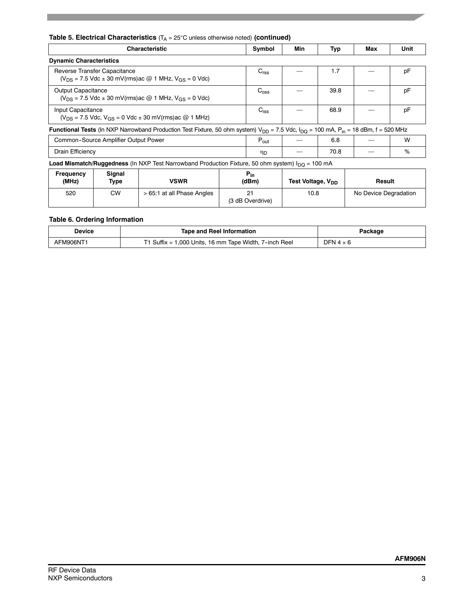## **Table 5. Electrical Characteristics** (T<sub>A</sub> = 25°C unless otherwise noted) (continued)

|                                                                                                        | <b>Characteristic</b>                |                                                                                                                                                                 |                   |                  | Min                           | Typ | Max                   | Unit |
|--------------------------------------------------------------------------------------------------------|--------------------------------------|-----------------------------------------------------------------------------------------------------------------------------------------------------------------|-------------------|------------------|-------------------------------|-----|-----------------------|------|
| <b>Dynamic Characteristics</b>                                                                         |                                      |                                                                                                                                                                 |                   |                  |                               |     |                       |      |
| Reverse Transfer Capacitance<br>$(V_{DS} = 7.5$ Vdc $\pm$ 30 mV(rms) ac @ 1 MHz, $V_{GS} = 0$ Vdc)     |                                      |                                                                                                                                                                 | C <sub>rss</sub>  |                  | 1.7                           |     | pF                    |      |
| <b>Output Capacitance</b><br>$(V_{DS} = 7.5$ Vdc $\pm$ 30 mV(rms) ac @ 1 MHz, V <sub>GS</sub> = 0 Vdc) |                                      |                                                                                                                                                                 | $C_{\text{oss}}$  |                  | 39.8                          |     | рF                    |      |
| Input Capacitance<br>$(V_{DS} = 7.5$ Vdc, $V_{GS} = 0$ Vdc $\pm$ 30 mV(rms) ac @ 1 MHz)                |                                      |                                                                                                                                                                 | $C_{iss}$         |                  | 68.9                          |     | pF                    |      |
|                                                                                                        |                                      | <b>Functional Tests</b> (In NXP Narrowband Production Test Fixture, 50 ohm system) $V_{DD}$ = 7.5 Vdc, $I_{DD}$ = 100 mA, P <sub>in</sub> = 18 dBm, f = 520 MHz |                   |                  |                               |     |                       |      |
|                                                                                                        | Common-Source Amplifier Output Power |                                                                                                                                                                 |                   | $P_{\text{out}}$ |                               | 6.8 |                       | W    |
| Drain Efficiency                                                                                       |                                      |                                                                                                                                                                 | ηD                |                  | 70.8                          |     | %                     |      |
|                                                                                                        |                                      | <b>Load Mismatch/Ruggedness</b> (In NXP Test Narrowband Production Fixture, 50 ohm system) $I_{\text{DO}} = 100 \text{ mA}$                                     |                   |                  |                               |     |                       |      |
| <b>Frequency</b><br>(MHz)                                                                              | Signal<br>Type                       | <b>VSWR</b>                                                                                                                                                     | $P_{in}$<br>(dBm) |                  | Test Voltage, V <sub>DD</sub> |     | Result                |      |
| 520                                                                                                    | <b>CW</b>                            | > 65:1 at all Phase Angles                                                                                                                                      | 21                |                  | 10.8                          |     | No Device Degradation |      |

## **Table 6. Ordering Information**

| Device   | <b>Tape and Reel Information</b>                          | Packaqe   |
|----------|-----------------------------------------------------------|-----------|
| AFM906NT | T1 Suffix = 1,000 Units, 16 mm Tape Width, $7$ -inch Reel | DFN 4 × 6 |

(3 dB Overdrive)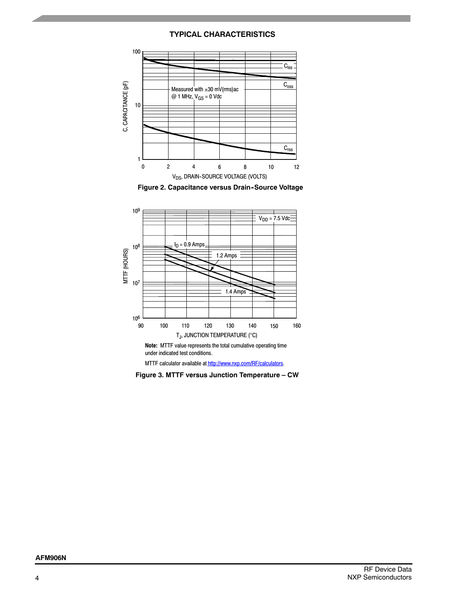# **TYPICAL CHARACTERISTICS**







MTTF calculator available at http://www.nxp.com/RF/calculators.

**Figure 3. MTTF versus Junction Temperature – CW**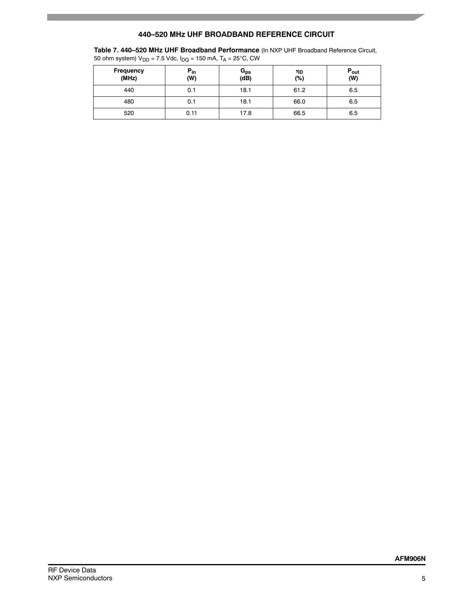# **440–520 MHz UHF BROADBAND REFERENCE CIRCUIT**

**Table 7. 440–520 MHz UHF Broadband Performance** (In NXP UHF Broadband Reference Circuit,

50 ohm system)  $V_{DD} = 7.5$  Vdc,  $I_{DQ} = 150$  mA,  $T_A = 25^{\circ}$ C, CW

| <b>Frequency</b><br>(MHz) | $P_{in}$<br>(W) | G <sub>ps</sub><br>(dB) | ηD<br>$(\%)$ | $P_{\text{out}}$<br>(W) |
|---------------------------|-----------------|-------------------------|--------------|-------------------------|
| 440                       | 0.1             | 18.1                    | 61.2         | 6.5                     |
| 480                       | 0.1             | 18.1                    | 66.0         | 6.5                     |
| 520                       | 0.11            | 17.8                    | 66.5         | 6.5                     |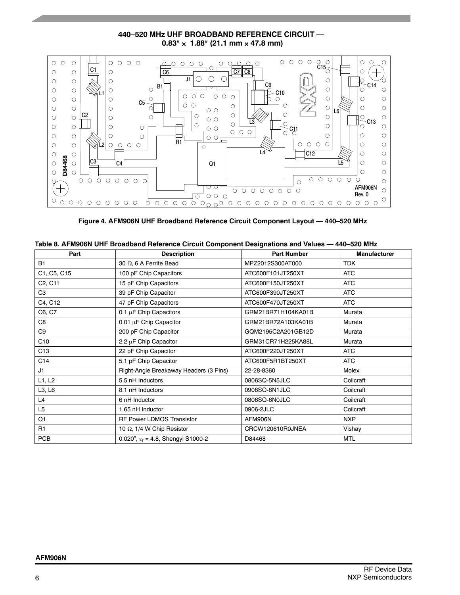$\begin{array}{ccc} \circ & \circ & \circ & \circ \end{array}$  $\overset{\circ}{\text{C15}}_{\text{O}}^{\text{O}}$  $O$   $O$  $\circ \circ \circ \circ \circ$  $\bigcirc$  $\circ$  $\circ$  $\circ$  $O$  O  $\circ$  $\circ$  $\mathsf{C}$  $\overline{O}$ O C  $\widetilde{+}$  $\overline{C1}$  $\circ$  $\circ$  $\circ$  $\circ$  $\overline{C6}$   $\overline{C7}$   $\overline{C8}$  $\overline{J1}$  $\bigcirc$  $\circ$  $\circ$  $\circ$ lo Ó C9 C14 lR.  $\bigcirc$  $\circ$  $\circ$  $\circ$  $\circ$  $\bigcirc$  $\bigcirc$  $\overline{C}$ 10 L1  $O$   $O$   $O$  $000$  $\circ$  $\circ$  $\circ$  $\circ$  $\circ$  $\bigcirc$ þ  $\circ$ C5  $\circ$   $\circ$  $\circ$  $\circ$  $\circlearrowright$  $\circ$  $\circ$ L6 C2  $\circ$  $\circ$  $\overline{\circ}$  $\bigcirc$ C13 L3  $\overline{\circ}$  $\bigcirc$  $\circ$  $\circ$  $\circ$  $\circ$  $\circ$  $\circ$  $\circ$  $\bigcirc$  $\circ$   $\circ$  $\stackrel{\bowtie}{\circ}$ cu  $\begin{array}{ccc} \circ & \circ & \circ \end{array}$  $\circ$  $\circlearrowright$  $\circ$  $\bigcirc$  $\circ$  $\bigcirc$  $\circ$  $\circ \circ_{\sqsubset}$ R1  $\circ \circ \circ \circ \circ$  $\circ \circ \circ \circ \circ$  $\circ$  $\circ$  $\circ$  $\circ$  $\overline{2}$  $\circ$ L4 C12  $\circ$  $\circ$  $\circ$  $\circ$ **D84468**  $\overline{\text{C3}}$   $\overline{\text{C4}}$  $\circ$  $\circ$  $\circ$ Q1 L5  $\circ$  $\bigcirc$  $\bigcirc$  $0000000$  $0 0 0 0 0 0 0 0 0$  $\circ$  $\circ$ Ç  $\hspace{.1cm} +$ AFM906N ত て  $000000000$  $\circ$ Rev. 0  $\sqrt{2}$ 000  $\bigcirc$ 

# **440–520 MHz UHF BROADBAND REFERENCE CIRCUIT —**  $0.83'' \times 1.88''$  (21.1 mm  $\times$  47.8 mm)

|  | Figure 4. AFM906N UHF Broadband Reference Circuit Component Layout — 440–520 MHz |  |  |
|--|----------------------------------------------------------------------------------|--|--|
|  |                                                                                  |  |  |
|  |                                                                                  |  |  |

|  | Table 8. AFM906N UHF Broadband Reference Circuit Component Designations and Values - 440-520 MHz |
|--|--------------------------------------------------------------------------------------------------|
|--|--------------------------------------------------------------------------------------------------|

| Part                             | <b>Description</b>                          | <b>Part Number</b> | <b>Manufacturer</b> |
|----------------------------------|---------------------------------------------|--------------------|---------------------|
| <b>B1</b>                        | 30 Ω, 6 A Ferrite Bead                      | MPZ2012S300AT000   | <b>TDK</b>          |
| C1, C5, C15                      | 100 pF Chip Capacitors                      | ATC600F101JT250XT  | <b>ATC</b>          |
| C <sub>2</sub> , C <sub>11</sub> | 15 pF Chip Capacitors                       | ATC600F150JT250XT  | <b>ATC</b>          |
| C <sub>3</sub>                   | 39 pF Chip Capacitor                        | ATC600F390JT250XT  | <b>ATC</b>          |
| C4, C12                          | 47 pF Chip Capacitors                       | ATC600F470JT250XT  | <b>ATC</b>          |
| C6, C7                           | 0.1 µF Chip Capacitors                      | GRM21BR71H104KA01B | Murata              |
| C8                               | 0.01 µF Chip Capacitor                      | GRM21BR72A103KA01B | Murata              |
| C9                               | 200 pF Chip Capacitor                       | GQM2195C2A201GB12D | Murata              |
| C10                              | 2.2 µF Chip Capacitor                       | GRM31CR71H225KA88L | Murata              |
| C <sub>13</sub>                  | 22 pF Chip Capacitor                        | ATC600F220JT250XT  | <b>ATC</b>          |
| C <sub>14</sub>                  | 5.1 pF Chip Capacitor                       | ATC600F5R1BT250XT  | <b>ATC</b>          |
| J1                               | Right-Angle Breakaway Headers (3 Pins)      | 22-28-8360         | Molex               |
| L1, L2                           | 5.5 nH Inductors                            | 0806SQ-5N5JLC      | Coilcraft           |
| L3, L6                           | 8.1 nH Inductors                            | 0908SQ-8N1JLC      | Coilcraft           |
| L <sub>4</sub>                   | 6 nH Inductor                               | 0806SQ-6N0JLC      | Coilcraft           |
| L <sub>5</sub>                   | 1.65 nH Inductor                            | 0906-2JLC          | Coilcraft           |
| Q1                               | <b>RF Power LDMOS Transistor</b>            | AFM906N            | <b>NXP</b>          |
| R <sub>1</sub>                   | 10 Ω, 1/4 W Chip Resistor                   | CRCW120610R0JNEA   | Vishay              |
| <b>PCB</b>                       | 0.020", $\epsilon_r$ = 4.8, Shengyi S1000-2 | D84468             | <b>MTL</b>          |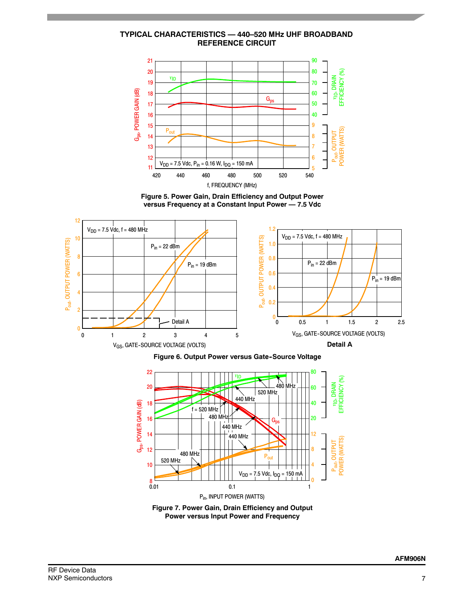**TYPICAL CHARACTERISTICS — 440–520 MHz UHF BROADBAND REFERENCE CIRCUIT**



**Figure 5. Power Gain, Drain Efficiency and Output Power versus Frequency at a Constant Input Power — 7.5 Vdc**



**Figure 6. Output Power versus Gate-Source Voltage** 



**Figure 7. Power Gain, Drain Efficiency and Output Power versus Input Power and Frequency**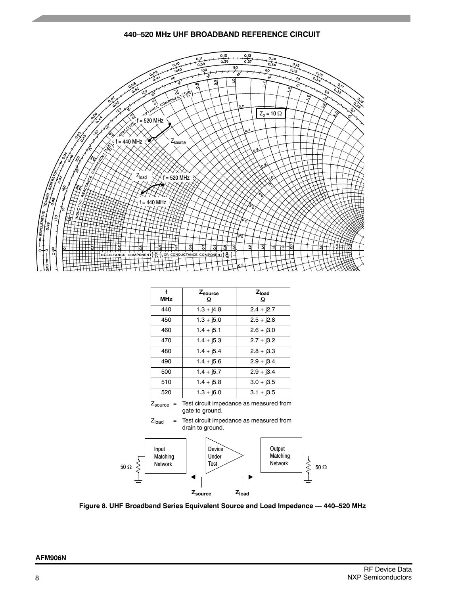#### **440–520 MHz UHF BROADBAND REFERENCE CIRCUIT**



| <b>MHz</b> | Zsource<br>Ω | Z <sub>load</sub><br>Ω |
|------------|--------------|------------------------|
| 440        | $1.3 + j4.8$ | $2.4 + j2.7$           |
| 450        | $1.3 + j5.0$ | $2.5 + j2.8$           |
| 460        | $1.4 + j5.1$ | $2.6 + j3.0$           |
| 470        | $1.4 + j5.3$ | $2.7 + j3.2$           |
| 480        | $1.4 + j5.4$ | $2.8 + j3.3$           |
| 490        | $1.4 + j5.6$ | $2.9 + j3.4$           |
| 500        | $1.4 + j5.7$ | $2.9 + j3.4$           |
| 510        | $1.4 + j5.8$ | $3.0 + j3.5$           |
| 520        | $1.3 + j6.0$ | $3.1 + j3.5$           |
|            |              |                        |

 $Z_{\text{source}}$  = Test circuit impedance as measured from gate to ground.





**Figure 8. UHF Broadband Series Equivalent Source and Load Impedance — 440–520 MHz**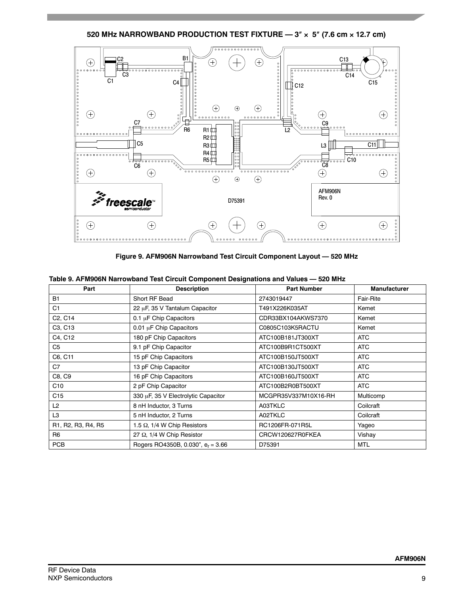520 MHz NARROWBAND PRODUCTION TEST FIXTURE —  $3'' \times 5''$  (7.6 cm  $\times$  12.7 cm)



**Figure 9. AFM906N Narrowband Test Circuit Component Layout — 520 MHz**

| Part                                                                               | <b>Description</b>                   | <b>Part Number</b>   | <b>Manufacturer</b> |
|------------------------------------------------------------------------------------|--------------------------------------|----------------------|---------------------|
| <b>B1</b>                                                                          | Short RF Bead                        | 2743019447           | Fair-Rite           |
| C <sub>1</sub>                                                                     | 22 µF, 35 V Tantalum Capacitor       | T491X226K035AT       | Kemet               |
| C <sub>2</sub> , C <sub>14</sub>                                                   | 0.1 µF Chip Capacitors               | CDR33BX104AKWS7370   | Kemet               |
| C3, C13                                                                            | 0.01 µF Chip Capacitors              | C0805C103K5RACTU     | Kemet               |
| C4, C12                                                                            | 180 pF Chip Capacitors               | ATC100B181JT300XT    | <b>ATC</b>          |
| C5                                                                                 | 9.1 pF Chip Capacitor                | ATC100B9R1CT500XT    | <b>ATC</b>          |
| C6, C11                                                                            | 15 pF Chip Capacitors                | ATC100B150JT500XT    | <b>ATC</b>          |
| C7                                                                                 | 13 pF Chip Capacitor                 | ATC100B130JT500XT    | <b>ATC</b>          |
| C8, C9                                                                             | 16 pF Chip Capacitors                | ATC100B160JT500XT    | <b>ATC</b>          |
| C10                                                                                | 2 pF Chip Capacitor                  | ATC100B2R0BT500XT    | <b>ATC</b>          |
| C <sub>15</sub>                                                                    | 330 µF, 35 V Electrolytic Capacitor  | MCGPR35V337M10X16-RH | Multicomp           |
| L <sub>2</sub>                                                                     | 8 nH Inductor, 3 Turns               | A03TKLC              | Coilcraft           |
| L <sub>3</sub>                                                                     | 5 nH Inductor, 2 Turns               | A02TKLC              | Coilcraft           |
| R <sub>1</sub> , R <sub>2</sub> , R <sub>3</sub> , R <sub>4</sub> , R <sub>5</sub> | 1.5 $\Omega$ , 1/4 W Chip Resistors  | RC1206FR-071R5L      | Yageo               |
| R <sub>6</sub>                                                                     | 27 $\Omega$ , 1/4 W Chip Resistor    | CRCW120627R0FKEA     | Vishay              |
| <b>PCB</b>                                                                         | Rogers RO4350B, 0.030", $e_r = 3.66$ | D75391               | <b>MTL</b>          |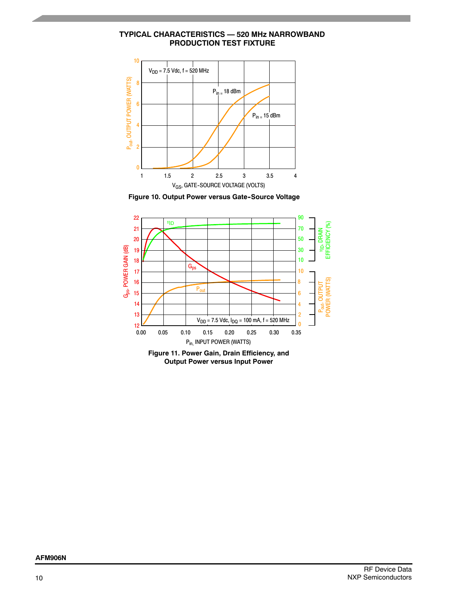**TYPICAL CHARACTERISTICS — 520 MHz NARROWBAND PRODUCTION TEST FIXTURE**



**Figure 10. Output Power versus Gate-Source Voltage** 



**Figure 11. Power Gain, Drain Efficiency, and Output Power versus Input Power**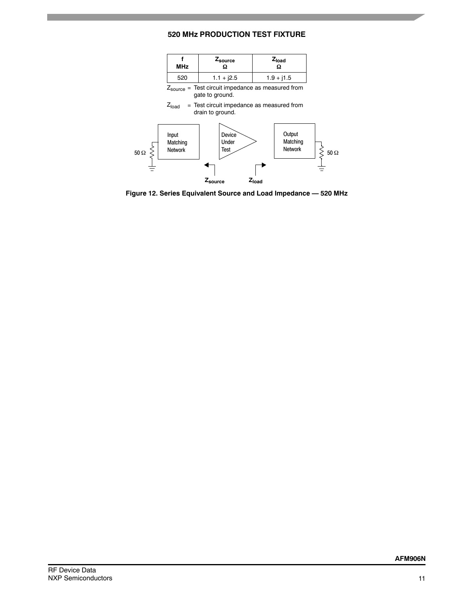# **520 MHz PRODUCTION TEST FIXTURE**



**Figure 12. Series Equivalent Source and Load Impedance — 520 MHz**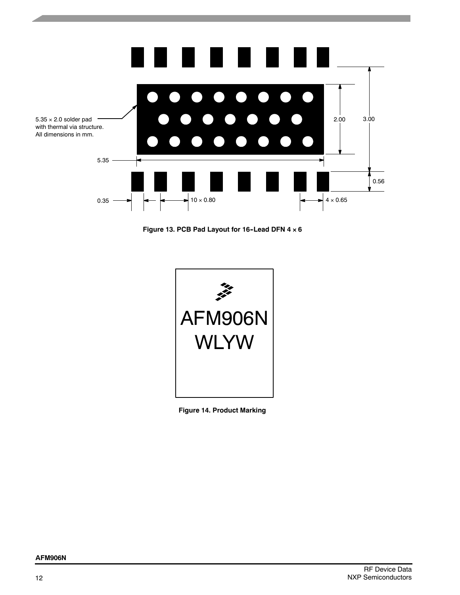

Figure 13. PCB Pad Layout for 16-Lead DFN 4  $\times$  6



**Figure 14. Product Marking**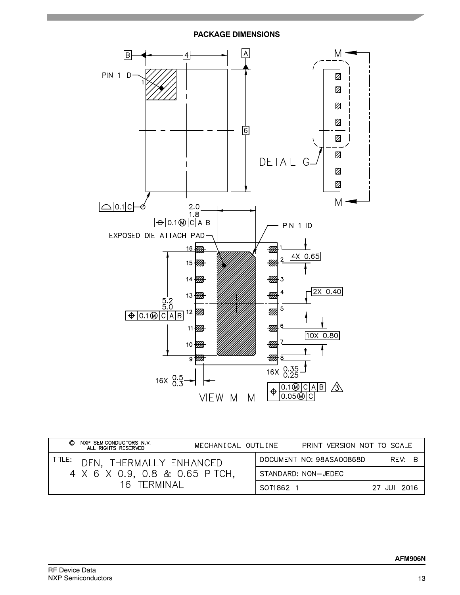

| NXP SEMICONDUCTORS N.V.<br>O<br>ALL RIGHTS RESERVED                 | MECHANICAL OUTLINE |                     | PRINT VERSION NOT TO SCALE |             |
|---------------------------------------------------------------------|--------------------|---------------------|----------------------------|-------------|
| TITLE:<br>DFN. THERMALLY ENHANCED<br>4 X 6 X 0.9, 0.8 & 0.65 PITCH, |                    |                     | DOCUMENT NO: 98ASA00868D   | REV: B      |
|                                                                     |                    | STANDARD: NON-JEDEC |                            |             |
| 16 TERMINAL                                                         |                    | SOT1862-1           |                            | 27 JUL 2016 |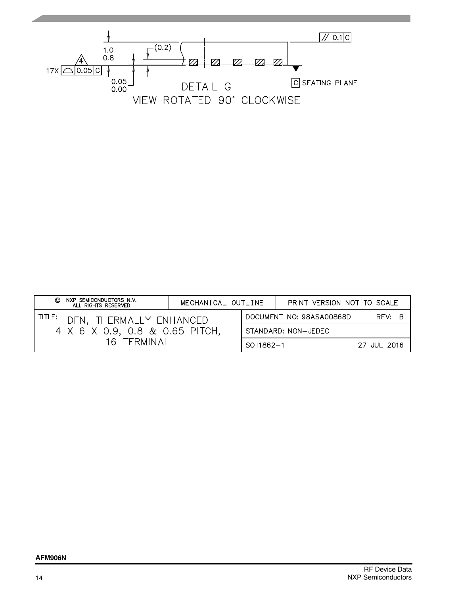

| NXP SEMICONDUCTORS N.V.<br>O<br>ALL RIGHTS RESERVED                 | MECHANICAL OUTLINE |           | PRINT VERSION NOT TO SCALE         |  |
|---------------------------------------------------------------------|--------------------|-----------|------------------------------------|--|
| TITLE:<br>DFN. THERMALLY ENHANCED<br>4 X 6 X 0.9, 0.8 & 0.65 PITCH, |                    |           | DOCUMENT NO: 98ASA00868D<br>REV: B |  |
|                                                                     |                    |           | STANDARD: NON-JEDEC                |  |
| 16 TERMINAL                                                         |                    | SOT1862-1 | 27 JUL 2016                        |  |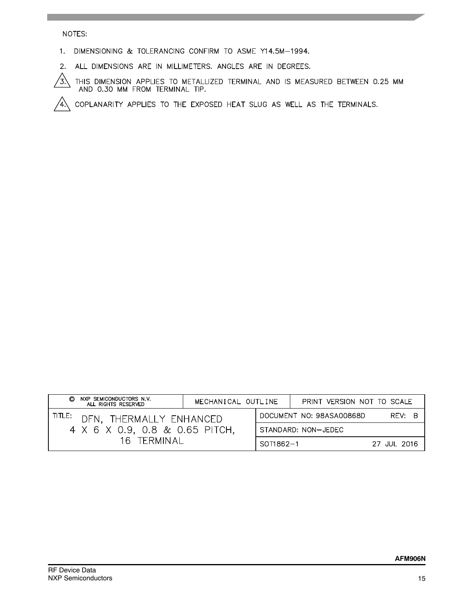## NOTES:

1. DIMENSIONING & TOLERANCING CONFIRM TO ASME Y14.5M-1994.

2. ALL DIMENSIONS ARE IN MILLIMETERS. ANGLES ARE IN DEGREES.

THIS DIMENSION APPLIES TO METALLIZED TERMINAL AND IS MEASURED BETWEEN 0.25 MM AND 0.30 MM FROM TERMINAL TIP. /ʒ)

COPLANARITY APPLIES TO THE EXPOSED HEAT SLUG AS WELL AS THE TERMINALS. /4)

| NXP SEMICONDUCTORS N.V.<br>O<br>ALL RIGHTS RESERVED                 | MECHANICAL OUTLINE |           | PRINT VERSION NOT TO SCALE |             |
|---------------------------------------------------------------------|--------------------|-----------|----------------------------|-------------|
| TITLE:<br>DFN. THERMALLY ENHANCED<br>4 X 6 X 0.9, 0.8 & 0.65 PITCH, |                    |           | DOCUMENT NO: 98ASA00868D   | REV: B      |
|                                                                     |                    |           | STANDARD: NON-JEDEC        |             |
| 16 TERMINAL                                                         |                    | SOT1862-1 |                            | 27 JUL 2016 |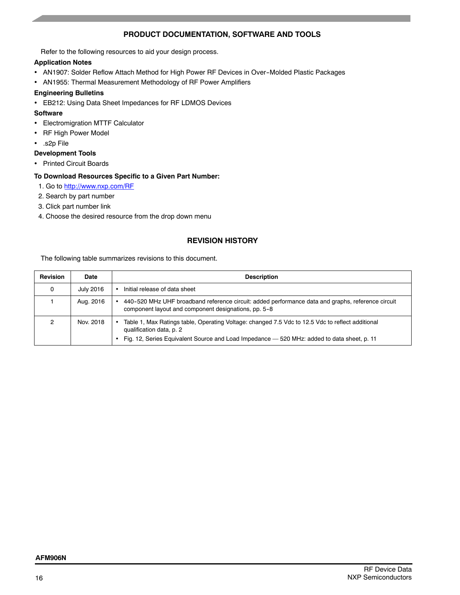# **PRODUCT DOCUMENTATION, SOFTWARE AND TOOLS**

Refer to the following resources to aid your design process.

## **Application Notes**

- AN1907: Solder Reflow Attach Method for High Power RF Devices in Over-Molded Plastic Packages
- AN1955: Thermal Measurement Methodology of RF Power Amplifiers

#### **Engineering Bulletins**

EB212: Using Data Sheet Impedances for RF LDMOS Devices

#### **Software**

- Electromigration MTTF Calculator
- RF High Power Model
- .s2p File

#### **Development Tools**

Printed Circuit Boards

#### **To Download Resources Specific to a Given Part Number:**

- 1. Go to http://www.nxp.com/RF
- 2. Search by part number
- 3. Click part number link
- 4. Choose the desired resource from the drop down menu

# **REVISION HISTORY**

The following table summarizes revisions to this document.

| <b>Revision</b> | Date      | <b>Description</b>                                                                                                                                                                                                              |
|-----------------|-----------|---------------------------------------------------------------------------------------------------------------------------------------------------------------------------------------------------------------------------------|
| 0               | July 2016 | Initial release of data sheet                                                                                                                                                                                                   |
|                 | Aug. 2016 | 440-520 MHz UHF broadband reference circuit: added performance data and graphs, reference circuit<br>component layout and component designations, pp. 5-8                                                                       |
| ົ               | Nov. 2018 | Table 1, Max Ratings table, Operating Voltage: changed 7.5 Vdc to 12.5 Vdc to reflect additional<br>٠<br>qualification data, p. 2<br>Fig. 12, Series Equivalent Source and Load Impedance - 520 MHz: added to data sheet, p. 11 |